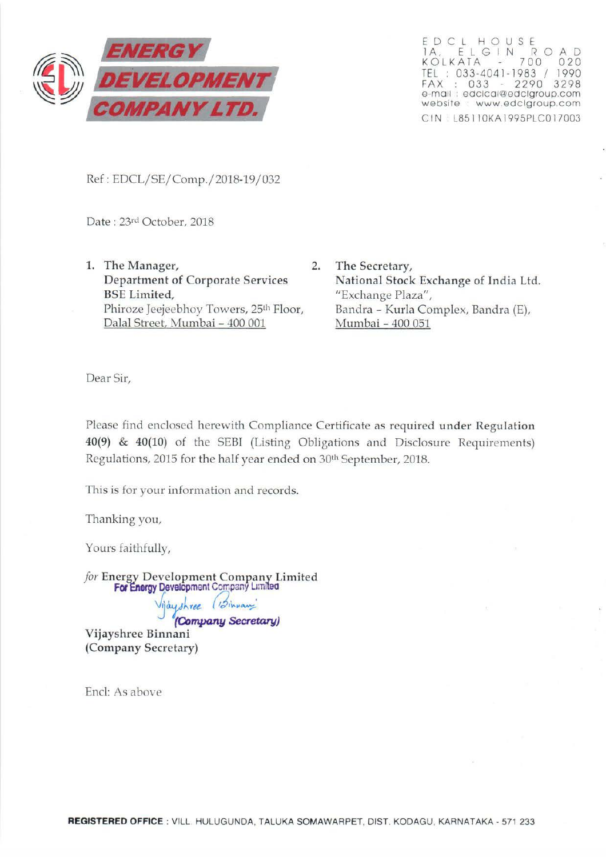

EDCL HOUSE 1 A, ELGIN ROAD<br>KOLKATA - 700 020 TEL : 033-4041-1983 / 1990 FAX : 033 - 2290 3298 e-mail: edclcal@edclgroup.com website · www.edclgroup.com C IN : L85ll OKA 1995PLCO 17003

Ref: EDCL/SE/Comp./2018-19/032

Date: 23rd October, 2018

- 1. The Manager, 2. Department of Corporate Services BSE Limited, Phiroze Jeejeebhoy Towers, 25<sup>th</sup> Floor, Dalal Street, Murnbai- 400 001
	- The Secretary, National Stock Exchange of India Ltd. "Exchange Plaza", Bandra - Kurla Complex, Bandra (E), Mumbai - 400 051

Dear Sir,

Please find enclosed herewith Compliance Certificate as required under Regulation 40(9) & 40(10) of the SEBI (Listing Obligations and Disclosure Requirements) Regulations, 2015 for the half year ended on 30th September, 2018.

This is for your information and records.

Thanking you,

Yours faithfully,

*for* Energy Development Company Limited For Energy Development Company Limited

Vijayshree (Sinnan) (Company Secretary)

Vijayshree Binnani (Company Secretary)

End: As above